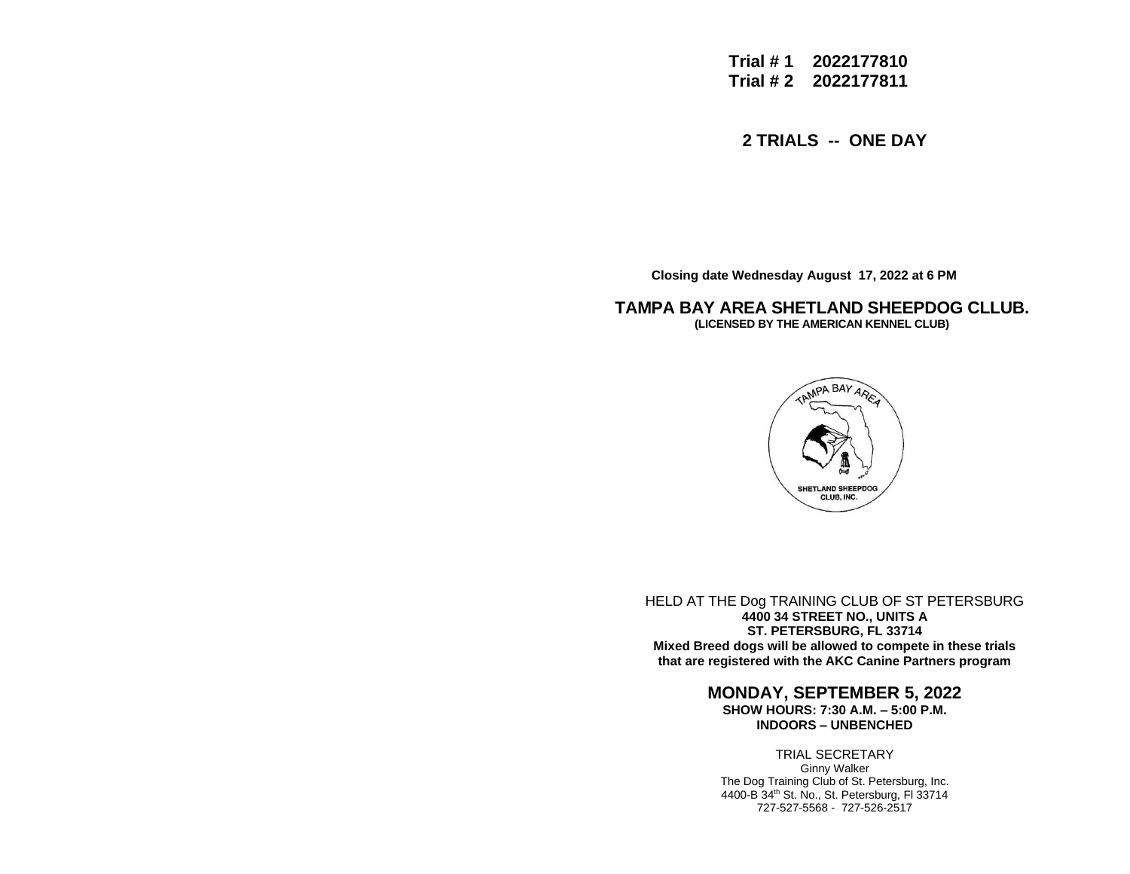**Trial # 1 2022177810 Trial # 2 2022177811**

**2 TRIALS -- ONE DAY**

 **Closing date Wednesday August 17, 2022 at 6 PM**

**TAMPA BAY AREA SHETLAND SHEEPDOG CLLUB. (LICENSED BY THE AMERICAN KENNEL CLUB)**



HELD AT THE Dog TRAINING CLUB OF ST PETERSBURG **4400 34 STREET NO., UNITS A ST. PETERSBURG, FL 33714 Mixed Breed dogs will be allowed to compete in these trials that are registered with the AKC Canine Partners program**

# **MONDAY, SEPTEMBER 5, 2022**

**SHOW HOURS: 7:30 A.M. – 5:00 P.M. INDOORS – UNBENCHED**

### TRIAL SECRETARY

Ginny Walker The Dog Training Club of St. Petersburg, Inc. 4400-B 34th St. No., St. Petersburg, Fl 33714 727-527-5568 - 727-526-2517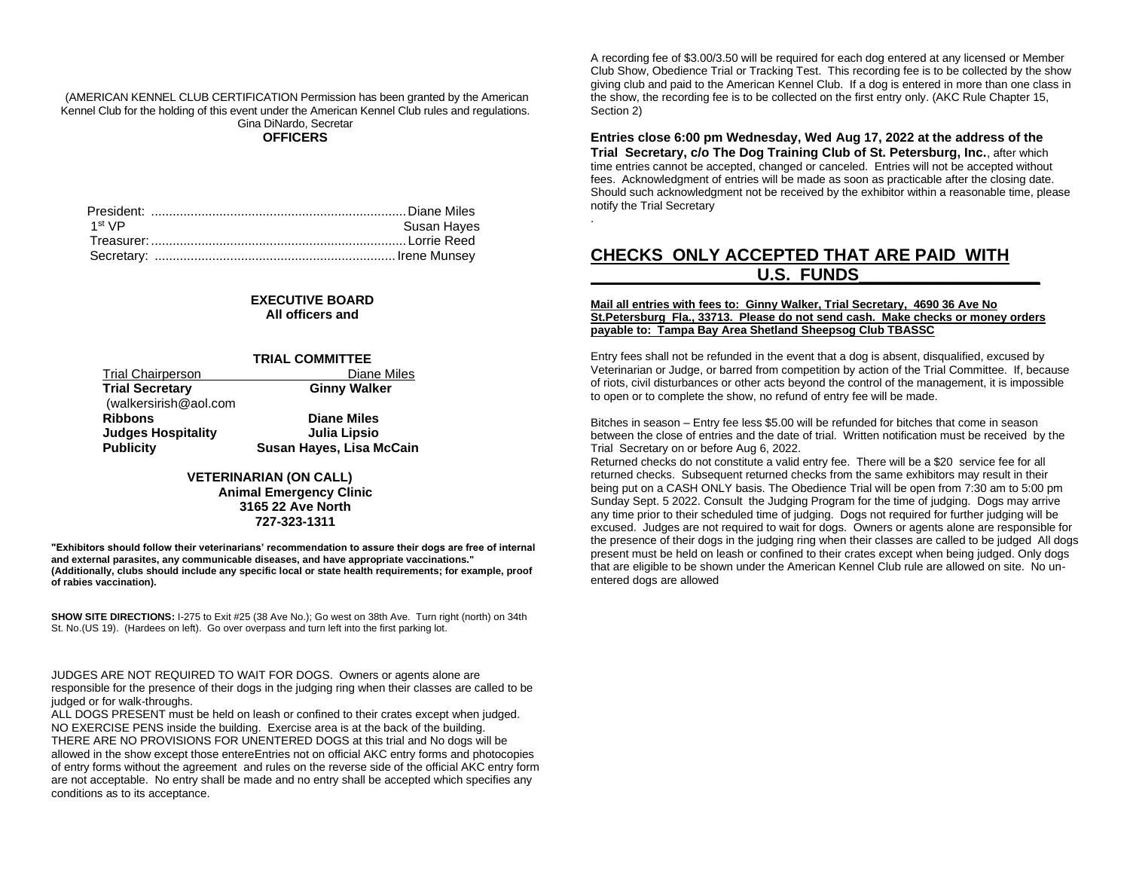(AMERICAN KENNEL CLUB CERTIFICATION Permission has been granted by the American Kennel Club for the holding of this event under the American Kennel Club rules and regulations. Gina DiNardo, Secretar **OFFICERS**

| 1 <sup>st</sup> VP | Susan Hayes |
|--------------------|-------------|
|                    |             |
|                    |             |

#### **EXECUTIVE BOARD All officers and**

#### **TRIAL COMMITTEE**

| <b>Trial Chairperson</b>  | Diane Miles              |
|---------------------------|--------------------------|
| <b>Trial Secretary</b>    | <b>Ginny Walker</b>      |
| (walkersirish@aol.com     |                          |
| <b>Ribbons</b>            | <b>Diane Miles</b>       |
| <b>Judges Hospitality</b> | Julia Lipsio             |
| <b>Publicity</b>          | Susan Hayes, Lisa McCain |

### **VETERINARIAN (ON CALL)**

**Animal Emergency Clinic 3165 22 Ave North 727-323-1311**

**"Exhibitors should follow their veterinarians' recommendation to assure their dogs are free of internal and external parasites, any communicable diseases, and have appropriate vaccinations." (Additionally, clubs should include any specific local or state health requirements; for example, proof of rabies vaccination).**

**SHOW SITE DIRECTIONS:** I-275 to Exit #25 (38 Ave No.); Go west on 38th Ave. Turn right (north) on 34th St. No. (US 19). (Hardees on left). Go over overpass and turn left into the first parking lot.

JUDGES ARE NOT REQUIRED TO WAIT FOR DOGS. Owners or agents alone are responsible for the presence of their dogs in the judging ring when their classes are called to be judged or for walk-throughs.

ALL DOGS PRESENT must be held on leash or confined to their crates except when judged. NO EXERCISE PENS inside the building. Exercise area is at the back of the building. THERE ARE NO PROVISIONS FOR UNENTERED DOGS at this trial and No dogs will be allowed in the show except those entereEntries not on official AKC entry forms and photocopies of entry forms without the agreement and rules on the reverse side of the official AKC entry form are not acceptable. No entry shall be made and no entry shall be accepted which specifies any conditions as to its acceptance.

A recording fee of \$3.00/3.50 will be required for each dog entered at any licensed or Member Club Show, Obedience Trial or Tracking Test. This recording fee is to be collected by the show giving club and paid to the American Kennel Club. If a dog is entered in more than one class in the show, the recording fee is to be collected on the first entry only. (AKC Rule Chapter 15, Section 2)

**Entries close 6:00 pm Wednesday, Wed Aug 17, 2022 at the address of the Trial Secretary, c/o The Dog Training Club of St. Petersburg, Inc.**, after which time entries cannot be accepted, changed or canceled. Entries will not be accepted without fees. Acknowledgment of entries will be made as soon as practicable after the closing date. Should such acknowledgment not be received by the exhibitor within a reasonable time, please notify the Trial Secretary

# **CHECKS ONLY ACCEPTED THAT ARE PAID WITH** U.S. FUNDS

.

#### **Mail all entries with fees to: Ginny Walker, Trial Secretary, 4690 36 Ave No St.Petersburg Fla., 33713. Please do not send cash. Make checks or money orders payable to: Tampa Bay Area Shetland Sheepsog Club TBASSC**

Entry fees shall not be refunded in the event that a dog is absent, disqualified, excused by Veterinarian or Judge, or barred from competition by action of the Trial Committee. If, because of riots, civil disturbances or other acts beyond the control of the management, it is impossible to open or to complete the show, no refund of entry fee will be made.

Bitches in season – Entry fee less \$5.00 will be refunded for bitches that come in season between the close of entries and the date of trial. Written notification must be received by the Trial Secretary on or before Aug 6, 2022.

Returned checks do not constitute a valid entry fee. There will be a \$20 service fee for all returned checks. Subsequent returned checks from the same exhibitors may result in their being put on a CASH ONLY basis. The Obedience Trial will be open from 7:30 am to 5:00 pm Sunday Sept. 5 2022. Consult the Judging Program for the time of judging. Dogs may arrive any time prior to their scheduled time of judging. Dogs not required for further judging will be excused. Judges are not required to wait for dogs. Owners or agents alone are responsible for the presence of their dogs in the judging ring when their classes are called to be judged All dogs present must be held on leash or confined to their crates except when being judged. Only dogs that are eligible to be shown under the American Kennel Club rule are allowed on site. No unentered dogs are allowed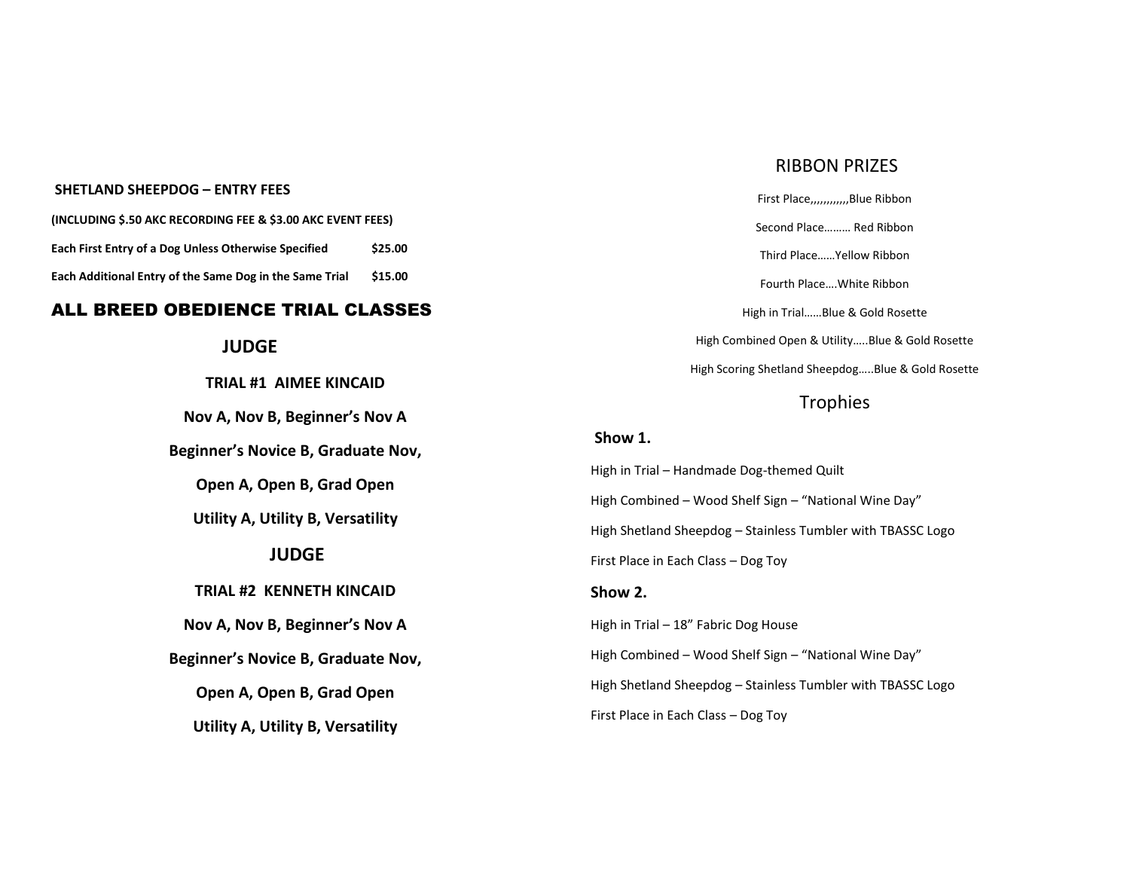### **SHETLAND SHEEPDOG – ENTRY FEES**

**(INCLUDING \$.50 AKC RECORDING FEE & \$3.00 AKC EVENT FEES) Each First Entry of a Dog Unless Otherwise Specified \$25.00 Each Additional Entry of the Same Dog in the Same Trial \$15.00**

## ALL BREED OBEDIENCE TRIAL CLASSES

# **JUDGE**

**TRIAL #1 AIMEE KINCAID**

**Nov A, Nov B, Beginner's Nov A**

**Beginner's Novice B, Graduate Nov,**

**Open A, Open B, Grad Open**

**Utility A, Utility B, Versatility**

# **JUDGE**

### **TRIAL #2 KENNETH KINCAID**

**Nov A, Nov B, Beginner's Nov A**

**Beginner's Novice B, Graduate Nov,**

**Open A, Open B, Grad Open**

**Utility A, Utility B, Versatility**

# RIBBON PRIZES

First Place,,,,,,,,,,,,Blue Ribbon Second Place……… Red Ribbon Third Place……Yellow Ribbon Fourth Place….White Ribbon High in Trial……Blue & Gold Rosette High Combined Open & Utility…..Blue & Gold Rosette High Scoring Shetland Sheepdog…..Blue & Gold Rosette **Trophies Show 1.** High in Trial – Handmade Dog-themed Quilt High Combined – Wood Shelf Sign – "National Wine Day" High Shetland Sheepdog – Stainless Tumbler with TBASSC Logo First Place in Each Class – Dog Toy

High in Trial – 18" Fabric Dog House

**Show 2.**

High Combined – Wood Shelf Sign – "National Wine Day"

High Shetland Sheepdog – Stainless Tumbler with TBASSC Logo

First Place in Each Class – Dog Toy